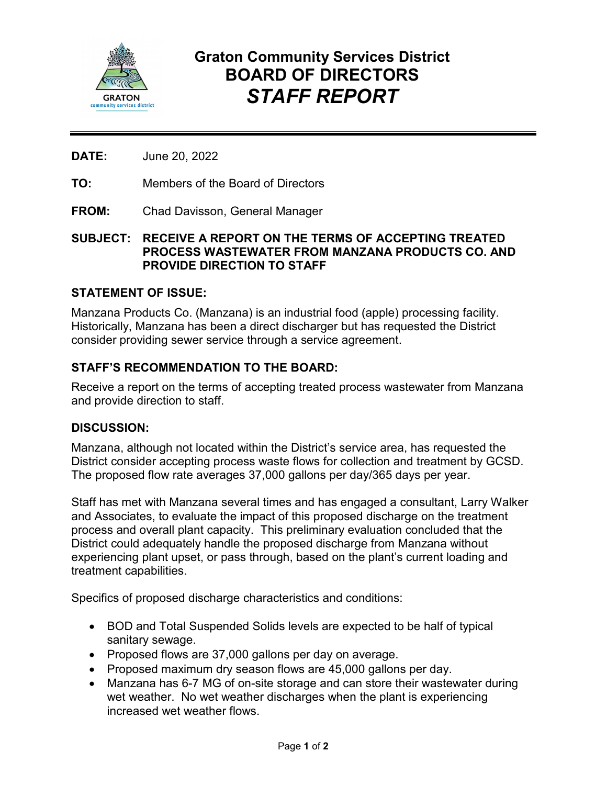

# **Graton Community Services District BOARD OF DIRECTORS** *STAFF REPORT*

**DATE:** June 20, 2022

**TO:** Members of the Board of Directors

**FROM:** Chad Davisson, General Manager

## **SUBJECT: RECEIVE A REPORT ON THE TERMS OF ACCEPTING TREATED PROCESS WASTEWATER FROM MANZANA PRODUCTS CO. AND PROVIDE DIRECTION TO STAFF**

## **STATEMENT OF ISSUE:**

Manzana Products Co. (Manzana) is an industrial food (apple) processing facility. Historically, Manzana has been a direct discharger but has requested the District consider providing sewer service through a service agreement.

# **STAFF'S RECOMMENDATION TO THE BOARD:**

Receive a report on the terms of accepting treated process wastewater from Manzana and provide direction to staff.

#### **DISCUSSION:**

Manzana, although not located within the District's service area, has requested the District consider accepting process waste flows for collection and treatment by GCSD. The proposed flow rate averages 37,000 gallons per day/365 days per year.

Staff has met with Manzana several times and has engaged a consultant, Larry Walker and Associates, to evaluate the impact of this proposed discharge on the treatment process and overall plant capacity. This preliminary evaluation concluded that the District could adequately handle the proposed discharge from Manzana without experiencing plant upset, or pass through, based on the plant's current loading and treatment capabilities.

Specifics of proposed discharge characteristics and conditions:

- BOD and Total Suspended Solids levels are expected to be half of typical sanitary sewage.
- Proposed flows are 37,000 gallons per day on average.
- Proposed maximum dry season flows are 45,000 gallons per day.
- Manzana has 6-7 MG of on-site storage and can store their wastewater during wet weather. No wet weather discharges when the plant is experiencing increased wet weather flows.